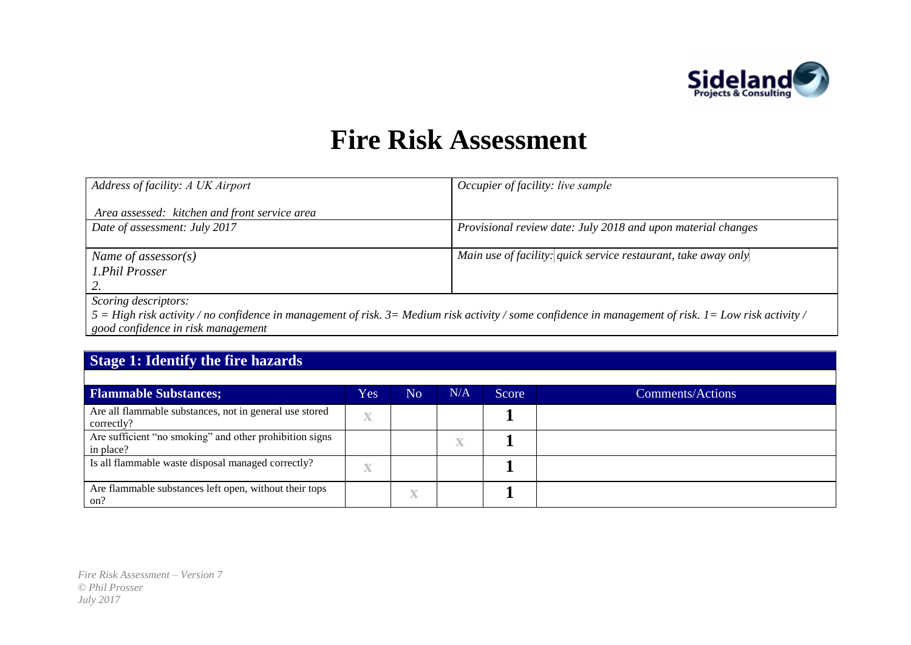

## **Fire Risk Assessment**

| Address of facility: A UK Airport             | Occupier of facility: live sample                                                                                                                                                                                                         |
|-----------------------------------------------|-------------------------------------------------------------------------------------------------------------------------------------------------------------------------------------------------------------------------------------------|
| Area assessed: kitchen and front service area |                                                                                                                                                                                                                                           |
| Date of assessment: July 2017                 | Provisional review date: July 2018 and upon material changes                                                                                                                                                                              |
|                                               |                                                                                                                                                                                                                                           |
| Name of assessor(s)                           | Main use of facility: quick service restaurant, take away only                                                                                                                                                                            |
| 1.Phil Prosser                                |                                                                                                                                                                                                                                           |
|                                               |                                                                                                                                                                                                                                           |
| Scoring descriptors:                          |                                                                                                                                                                                                                                           |
|                                               | $\epsilon$ . Here, with a state for a real finite to many control of the finite form of the condition of the state of with $\epsilon$ . In the state of the state of the state of the state of the state of the state of the state of the |

*5 = High risk activity / no confidence in management of risk. 3= Medium risk activity / some confidence in management of risk. 1= Low risk activity / good confidence in risk management*

## **Stage 1: Identify the fire hazards**

| <b>Flammable Substances;</b>                                          | Yes'                    | N <sub>o</sub>      | N/A | <b>Score</b> | Comments/Actions |
|-----------------------------------------------------------------------|-------------------------|---------------------|-----|--------------|------------------|
| Are all flammable substances, not in general use stored<br>correctly? | $\overline{\mathbf{X}}$ |                     |     |              |                  |
| Are sufficient "no smoking" and other prohibition signs<br>in place?  |                         |                     | X   |              |                  |
| Is all flammable waste disposal managed correctly?                    | X                       |                     |     |              |                  |
| Are flammable substances left open, without their tops<br>on?         |                         | $\overline{\nabla}$ |     |              |                  |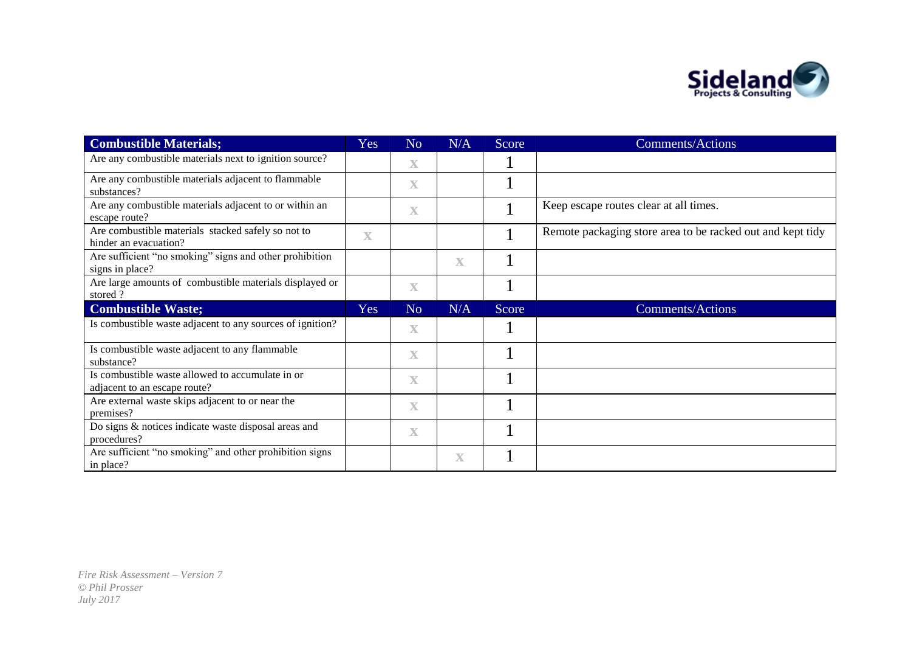

| <b>Combustible Materials;</b>                                                    | Yes                     | N <sub>o</sub>          | N/A         | Score | <b>Comments/Actions</b>                                    |
|----------------------------------------------------------------------------------|-------------------------|-------------------------|-------------|-------|------------------------------------------------------------|
| Are any combustible materials next to ignition source?                           |                         | $\overline{\mathbf{X}}$ |             |       |                                                            |
| Are any combustible materials adjacent to flammable<br>substances?               |                         | $\overline{\mathbf{X}}$ |             |       |                                                            |
| Are any combustible materials adjacent to or within an<br>escape route?          |                         | $\overline{\mathbf{X}}$ |             |       | Keep escape routes clear at all times.                     |
| Are combustible materials stacked safely so not to<br>hinder an evacuation?      | $\overline{\mathbf{X}}$ |                         |             |       | Remote packaging store area to be racked out and kept tidy |
| Are sufficient "no smoking" signs and other prohibition<br>signs in place?       |                         |                         | $\mathbf X$ |       |                                                            |
| Are large amounts of combustible materials displayed or<br>stored?               |                         | $\mathbf X$             |             |       |                                                            |
| <b>Combustible Waste;</b>                                                        | Yes                     | N <sub>o</sub>          | N/A         | Score | <b>Comments/Actions</b>                                    |
| Is combustible waste adjacent to any sources of ignition?                        |                         | $\mathbf X$             |             |       |                                                            |
| Is combustible waste adjacent to any flammable<br>substance?                     |                         | $\mathbf X$             |             |       |                                                            |
| Is combustible waste allowed to accumulate in or<br>adjacent to an escape route? |                         | $\mathbf X$             |             |       |                                                            |
| Are external waste skips adjacent to or near the<br>premises?                    |                         | $\mathbf X$             |             |       |                                                            |
| Do signs & notices indicate waste disposal areas and<br>procedures?              |                         | $\overline{\mathbf{X}}$ |             |       |                                                            |
| Are sufficient "no smoking" and other prohibition signs<br>in place?             |                         |                         | $\mathbf X$ |       |                                                            |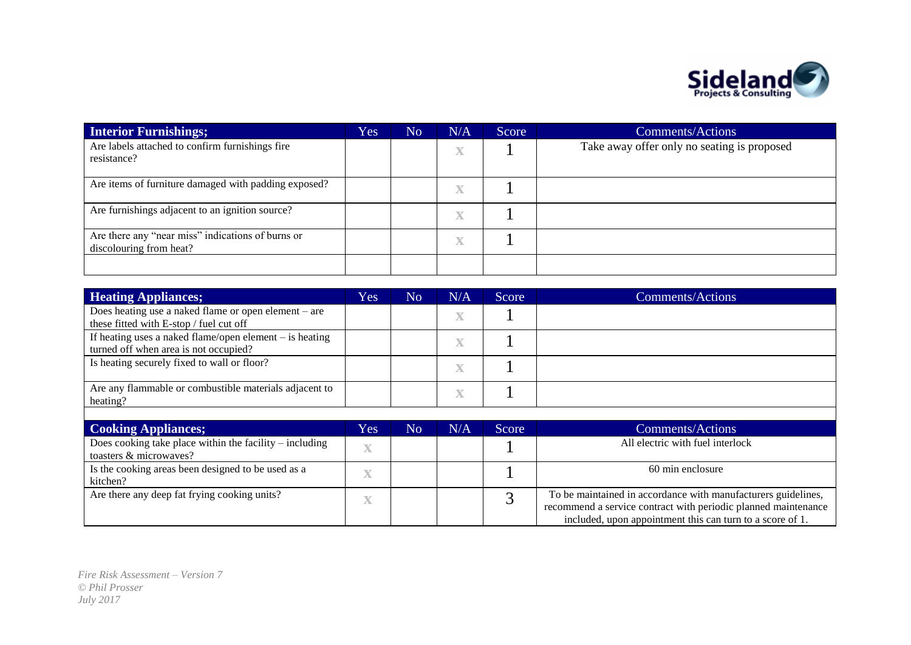

| <b>Interior Furnishings;</b>                                                 | Yes | N <sub>o</sub> | N/A                     | Score | Comments/Actions                            |
|------------------------------------------------------------------------------|-----|----------------|-------------------------|-------|---------------------------------------------|
| Are labels attached to confirm furnishings fire<br>resistance?               |     |                | $\overline{\mathbf{X}}$ |       | Take away offer only no seating is proposed |
| Are items of furniture damaged with padding exposed?                         |     |                | $\overline{\mathbf{X}}$ |       |                                             |
| Are furnishings adjacent to an ignition source?                              |     |                | $\overline{\mathbf{X}}$ |       |                                             |
| Are there any "near miss" indications of burns or<br>discolouring from heat? |     |                | $\overline{\mathbf{X}}$ |       |                                             |
|                                                                              |     |                |                         |       |                                             |

| <b>Heating Appliances;</b>                                                                         | Yes | N <sub>o</sub> | N/A                     | Score | <b>Comments/Actions</b> |
|----------------------------------------------------------------------------------------------------|-----|----------------|-------------------------|-------|-------------------------|
| Does heating use a naked flame or open element $-$ are<br>these fitted with E-stop / fuel cut off  |     |                | $\overline{\mathbf{X}}$ |       |                         |
| If heating uses a naked flame/open element $-$ is heating<br>turned off when area is not occupied? |     |                | $\overline{\mathbf{X}}$ |       |                         |
| Is heating securely fixed to wall or floor?                                                        |     |                | $\overline{\mathbf{X}}$ |       |                         |
| Are any flammable or combustible materials adjacent to<br>heating?                                 |     |                | $\overline{\mathbf{X}}$ |       |                         |
|                                                                                                    |     |                |                         |       |                         |

| <b>Cooking Appliances;</b>                                                          | Yes                     | No | N/A | Score | <b>Comments/Actions</b>                                                                                                                                                                      |
|-------------------------------------------------------------------------------------|-------------------------|----|-----|-------|----------------------------------------------------------------------------------------------------------------------------------------------------------------------------------------------|
| Does cooking take place within the facility $-$ including<br>toasters & microwaves? | $\overline{\mathbf{v}}$ |    |     |       | All electric with fuel interlock                                                                                                                                                             |
| Is the cooking areas been designed to be used as a<br>kitchen?                      | X                       |    |     |       | 60 min enclosure                                                                                                                                                                             |
| Are there any deep fat frying cooking units?                                        | X                       |    |     |       | To be maintained in accordance with manufacturers guidelines,<br>recommend a service contract with periodic planned maintenance<br>included, upon appointment this can turn to a score of 1. |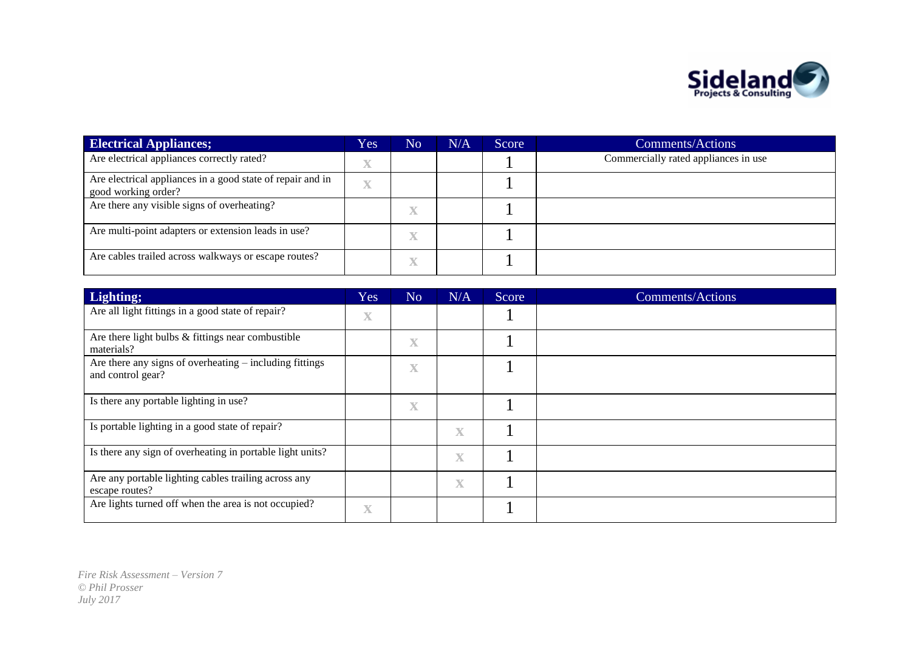

| <b>Electrical Appliances;</b>                                                     | Yes                     | N <sub>o</sub> | N/A | Score | <b>Comments/Actions</b>              |
|-----------------------------------------------------------------------------------|-------------------------|----------------|-----|-------|--------------------------------------|
| Are electrical appliances correctly rated?                                        | $\overline{\mathbf{X}}$ |                |     |       | Commercially rated appliances in use |
| Are electrical appliances in a good state of repair and in<br>good working order? | $\overline{\mathbf{X}}$ |                |     |       |                                      |
| Are there any visible signs of overheating?                                       |                         |                |     |       |                                      |
| Are multi-point adapters or extension leads in use?                               |                         |                |     |       |                                      |
| Are cables trailed across walkways or escape routes?                              |                         |                |     |       |                                      |

| Lighting;                                                                    | Yes                     | N <sub>o</sub> | N/A                     | Score | <b>Comments/Actions</b> |
|------------------------------------------------------------------------------|-------------------------|----------------|-------------------------|-------|-------------------------|
| Are all light fittings in a good state of repair?                            | $\mathbf X$             |                |                         |       |                         |
| Are there light bulbs & fittings near combustible<br>materials?              |                         | $\mathbf X$    |                         |       |                         |
| Are there any signs of overheating - including fittings<br>and control gear? |                         | $\mathbf X$    |                         |       |                         |
| Is there any portable lighting in use?                                       |                         | $\mathbf X$    |                         |       |                         |
| Is portable lighting in a good state of repair?                              |                         |                | $\mathbf X$             |       |                         |
| Is there any sign of overheating in portable light units?                    |                         |                | $\overline{\mathbf{X}}$ |       |                         |
| Are any portable lighting cables trailing across any<br>escape routes?       |                         |                | X                       |       |                         |
| Are lights turned off when the area is not occupied?                         | $\overline{\mathbf{X}}$ |                |                         |       |                         |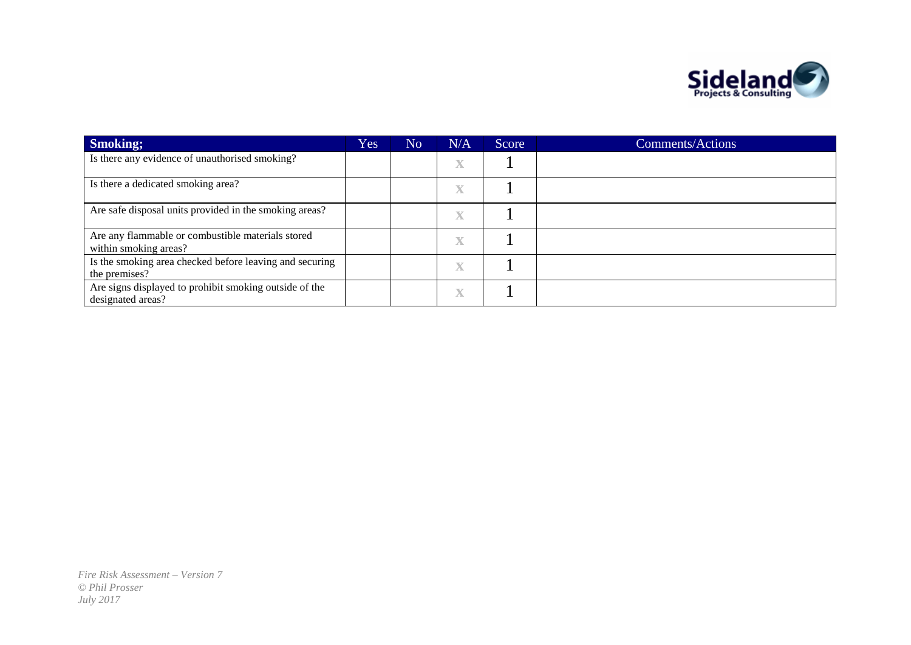

| <b>Smoking</b> ;                                                            | Yes | N <sub>o</sub> | N/A                | Score | <b>Comments/Actions</b> |
|-----------------------------------------------------------------------------|-----|----------------|--------------------|-------|-------------------------|
| Is there any evidence of unauthorised smoking?                              |     |                | $\bar{\mathbf{X}}$ |       |                         |
| Is there a dedicated smoking area?                                          |     |                | X                  |       |                         |
| Are safe disposal units provided in the smoking areas?                      |     |                | X                  |       |                         |
| Are any flammable or combustible materials stored<br>within smoking areas?  |     |                | $\bf{X}$           |       |                         |
| Is the smoking area checked before leaving and securing<br>the premises?    |     |                | $\bf{X}$           |       |                         |
| Are signs displayed to prohibit smoking outside of the<br>designated areas? |     |                | X                  |       |                         |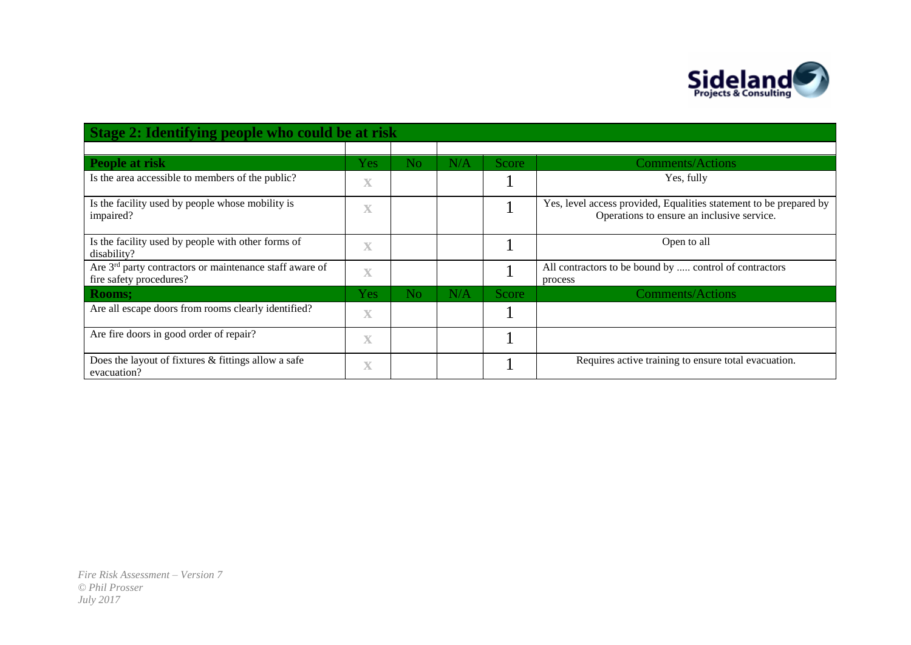

| Stage 2: Identifying people who could be at risk                                               |                         |                |     |              |                                                                                                                  |  |  |  |  |
|------------------------------------------------------------------------------------------------|-------------------------|----------------|-----|--------------|------------------------------------------------------------------------------------------------------------------|--|--|--|--|
|                                                                                                |                         |                |     |              |                                                                                                                  |  |  |  |  |
| People at risk                                                                                 | Yes                     | N <sub>o</sub> | N/A | <b>Score</b> | <b>Comments/Actions</b>                                                                                          |  |  |  |  |
| Is the area accessible to members of the public?                                               | $\mathbf X$             |                |     |              | Yes, fully                                                                                                       |  |  |  |  |
| Is the facility used by people whose mobility is<br>impaired?                                  | $\overline{\mathbf{X}}$ |                |     |              | Yes, level access provided, Equalities statement to be prepared by<br>Operations to ensure an inclusive service. |  |  |  |  |
| Is the facility used by people with other forms of<br>disability?                              | $\overline{\mathbf{X}}$ |                |     |              | Open to all                                                                                                      |  |  |  |  |
| Are 3 <sup>rd</sup> party contractors or maintenance staff aware of<br>fire safety procedures? | $\mathbf X$             |                |     |              | All contractors to be bound by  control of contractors<br>process                                                |  |  |  |  |
| <b>Rooms;</b>                                                                                  | Yes                     | N <sub>o</sub> | N/A | Score        | <b>Comments/Actions</b>                                                                                          |  |  |  |  |
| Are all escape doors from rooms clearly identified?                                            | $\mathbf X$             |                |     |              |                                                                                                                  |  |  |  |  |
| Are fire doors in good order of repair?                                                        | $\overline{\mathbf{X}}$ |                |     |              |                                                                                                                  |  |  |  |  |
| Does the layout of fixtures $&$ fittings allow a safe<br>evacuation?                           | $\overline{\mathbf{X}}$ |                |     |              | Requires active training to ensure total evacuation.                                                             |  |  |  |  |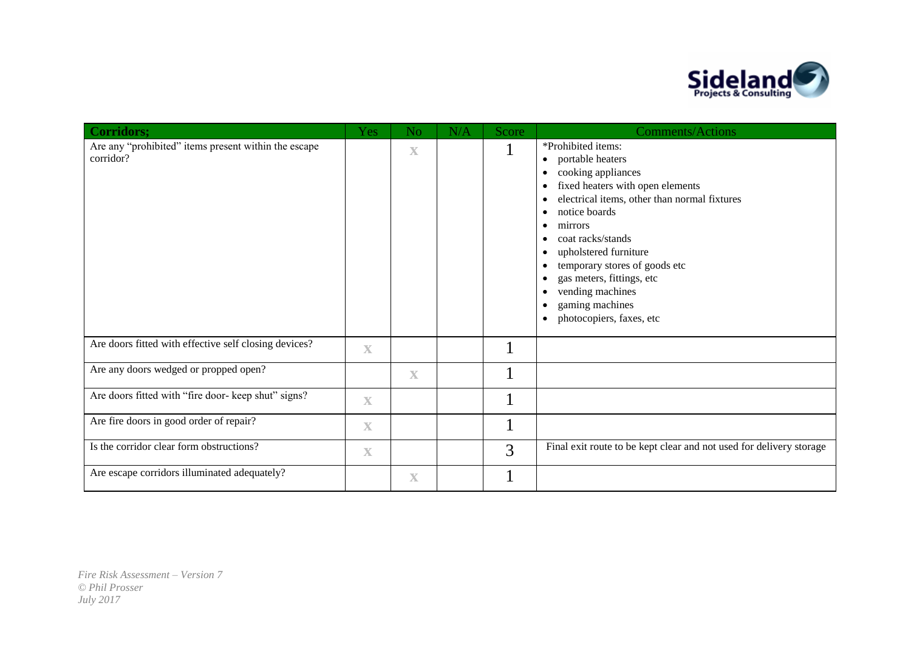

| <b>Corridors;</b>                                                 | <b>Yes</b>              | N <sub>o</sub>          | N/A | Score | <b>Comments/Actions</b>                                                                                                                                                                                                                                                                                                                                                                                                             |
|-------------------------------------------------------------------|-------------------------|-------------------------|-----|-------|-------------------------------------------------------------------------------------------------------------------------------------------------------------------------------------------------------------------------------------------------------------------------------------------------------------------------------------------------------------------------------------------------------------------------------------|
| Are any "prohibited" items present within the escape<br>corridor? |                         | $\overline{\mathbf{X}}$ |     | Τ.    | *Prohibited items:<br>• portable heaters<br>cooking appliances<br>$\bullet$<br>fixed heaters with open elements<br>$\bullet$<br>electrical items, other than normal fixtures<br>notice boards<br>$\bullet$<br>mirrors<br>٠<br>coat racks/stands<br>upholstered furniture<br>$\bullet$<br>temporary stores of goods etc<br>gas meters, fittings, etc<br>vending machines<br>$\bullet$<br>gaming machines<br>photocopiers, faxes, etc |
| Are doors fitted with effective self closing devices?             | $\mathbf X$             |                         |     |       |                                                                                                                                                                                                                                                                                                                                                                                                                                     |
| Are any doors wedged or propped open?                             |                         | $\overline{\mathbf{X}}$ |     |       |                                                                                                                                                                                                                                                                                                                                                                                                                                     |
| Are doors fitted with "fire door- keep shut" signs?               | $\overline{\mathbf{X}}$ |                         |     |       |                                                                                                                                                                                                                                                                                                                                                                                                                                     |
| Are fire doors in good order of repair?                           | $\overline{\mathbf{X}}$ |                         |     |       |                                                                                                                                                                                                                                                                                                                                                                                                                                     |
| Is the corridor clear form obstructions?                          | $\mathbf X$             |                         |     | 3     | Final exit route to be kept clear and not used for delivery storage                                                                                                                                                                                                                                                                                                                                                                 |
| Are escape corridors illuminated adequately?                      |                         | $\mathbf X$             |     |       |                                                                                                                                                                                                                                                                                                                                                                                                                                     |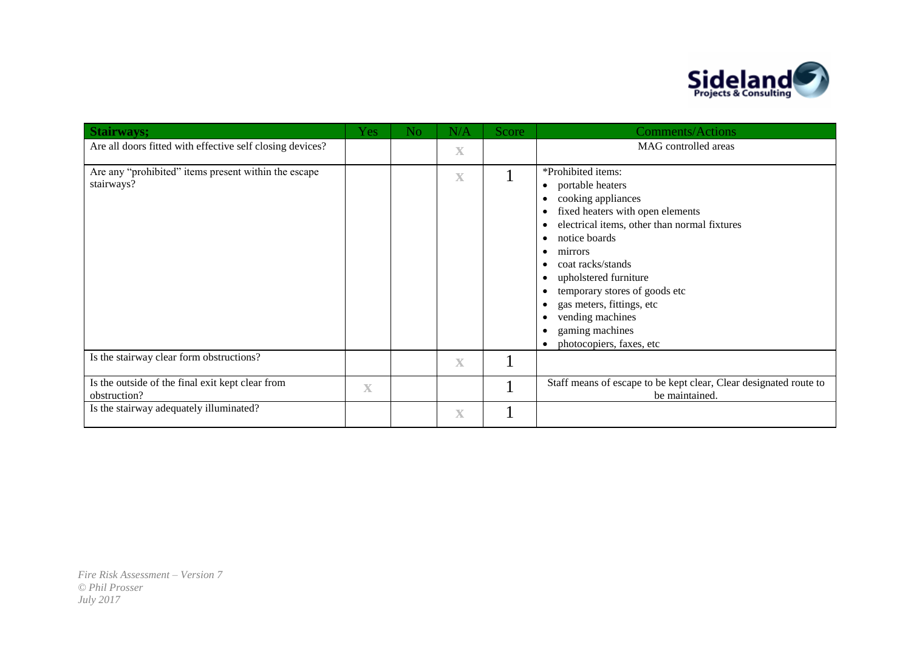

| <b>Stairways;</b>                                                  | Yes         | No | N/A                     | Score | <b>Comments/Actions</b>                                                                                                                                                                                                                                                                                                                                                  |
|--------------------------------------------------------------------|-------------|----|-------------------------|-------|--------------------------------------------------------------------------------------------------------------------------------------------------------------------------------------------------------------------------------------------------------------------------------------------------------------------------------------------------------------------------|
| Are all doors fitted with effective self closing devices?          |             |    | $\mathbf X$             |       | MAG controlled areas                                                                                                                                                                                                                                                                                                                                                     |
| Are any "prohibited" items present within the escape<br>stairways? |             |    | $\mathbf X$             |       | *Prohibited items:<br>portable heaters<br>$\bullet$<br>cooking appliances<br>fixed heaters with open elements<br>electrical items, other than normal fixtures<br>notice boards<br>mirrors<br>coat racks/stands<br>upholstered furniture<br>temporary stores of goods etc<br>gas meters, fittings, etc<br>vending machines<br>gaming machines<br>photocopiers, faxes, etc |
| Is the stairway clear form obstructions?                           |             |    | $\overline{\mathbf{X}}$ |       |                                                                                                                                                                                                                                                                                                                                                                          |
| Is the outside of the final exit kept clear from<br>obstruction?   | $\mathbf X$ |    |                         |       | Staff means of escape to be kept clear, Clear designated route to<br>be maintained.                                                                                                                                                                                                                                                                                      |
| Is the stairway adequately illuminated?                            |             |    | $\overline{\mathbf{X}}$ |       |                                                                                                                                                                                                                                                                                                                                                                          |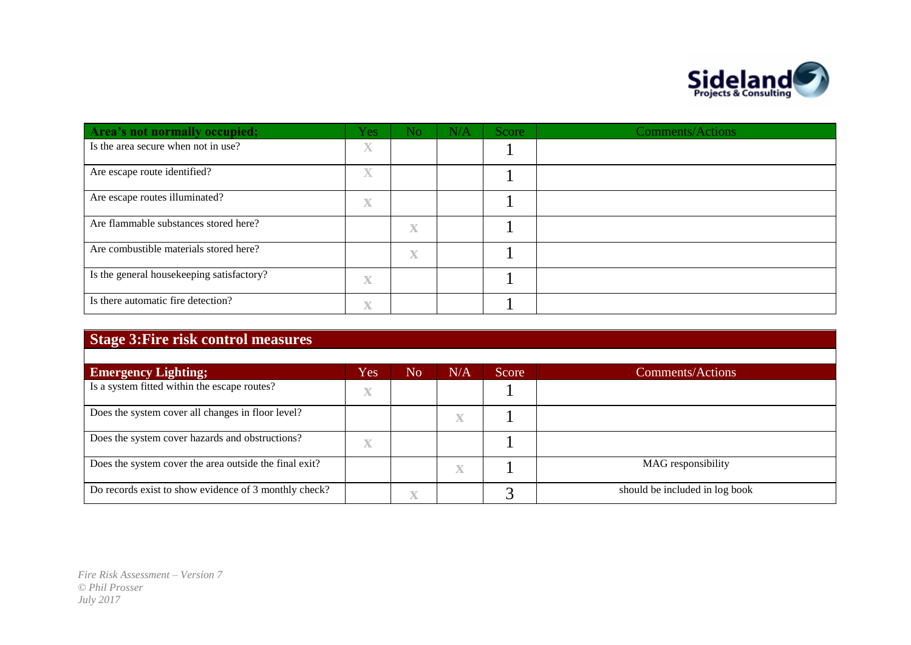

| Area's not normally occupied;             | <b>Yes</b>              | N <sub>o</sub>          | N/A | Score | <b>Comments/Actions</b> |
|-------------------------------------------|-------------------------|-------------------------|-----|-------|-------------------------|
| Is the area secure when not in use?       | $\overline{\mathbf{X}}$ |                         |     |       |                         |
| Are escape route identified?              | $\overline{\mathbf{X}}$ |                         |     |       |                         |
| Are escape routes illuminated?            | $\overline{\mathbf{X}}$ |                         |     |       |                         |
| Are flammable substances stored here?     |                         | $\mathbf X$             |     |       |                         |
| Are combustible materials stored here?    |                         | $\overline{\mathbf{X}}$ |     |       |                         |
| Is the general housekeeping satisfactory? | $\overline{\mathbf{X}}$ |                         |     |       |                         |
| Is there automatic fire detection?        | $\overline{\mathbf{X}}$ |                         |     |       |                         |

## **Stage 3:Fire risk control measures**

| <b>Emergency Lighting;</b>                             | Yes                     | No | N/A                     | Score | <b>Comments/Actions</b>        |
|--------------------------------------------------------|-------------------------|----|-------------------------|-------|--------------------------------|
| Is a system fitted within the escape routes?           | $\overline{\mathbf{X}}$ |    |                         |       |                                |
| Does the system cover all changes in floor level?      |                         |    | $\bf{X}$                |       |                                |
| Does the system cover hazards and obstructions?        | $\mathbf X$             |    |                         |       |                                |
| Does the system cover the area outside the final exit? |                         |    | $\overline{\mathbf{X}}$ |       | MAG responsibility             |
| Do records exist to show evidence of 3 monthly check?  |                         |    |                         |       | should be included in log book |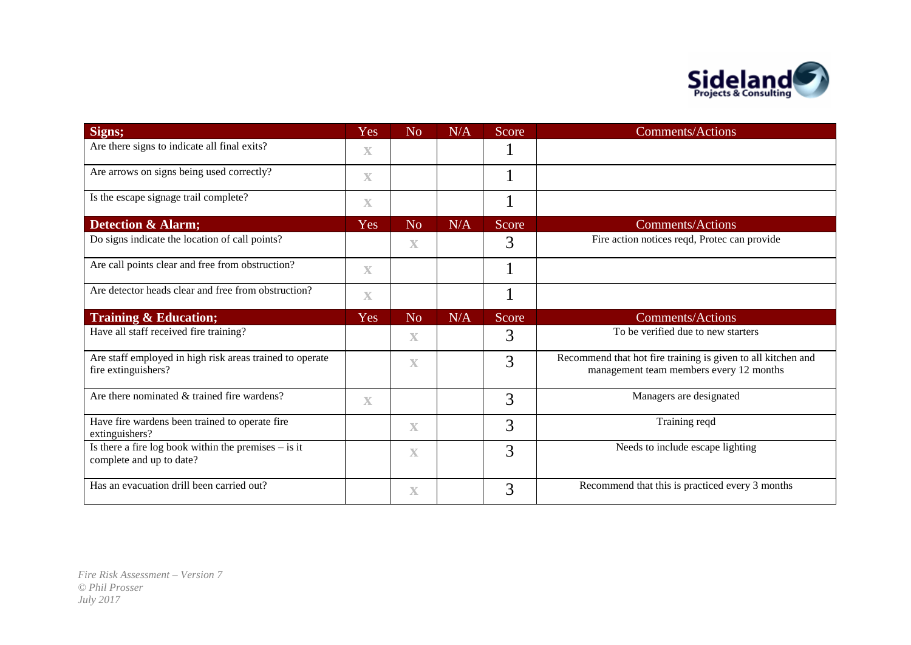

| Signs;                                                                             | Yes                     | N <sub>o</sub>          | N/A | Score | <b>Comments/Actions</b>                                                                                 |
|------------------------------------------------------------------------------------|-------------------------|-------------------------|-----|-------|---------------------------------------------------------------------------------------------------------|
| Are there signs to indicate all final exits?                                       | $\mathbf X$             |                         |     |       |                                                                                                         |
| Are arrows on signs being used correctly?                                          | $\mathbf X$             |                         |     |       |                                                                                                         |
| Is the escape signage trail complete?                                              | $\mathbf X$             |                         |     |       |                                                                                                         |
| <b>Detection &amp; Alarm;</b>                                                      | Yes                     | N <sub>o</sub>          | N/A | Score | <b>Comments/Actions</b>                                                                                 |
| Do signs indicate the location of call points?                                     |                         | $\mathbf X$             |     | 3     | Fire action notices reqd, Protec can provide                                                            |
| Are call points clear and free from obstruction?                                   | $\overline{\mathbf{X}}$ |                         |     |       |                                                                                                         |
| Are detector heads clear and free from obstruction?                                | $\mathbf X$             |                         |     | T     |                                                                                                         |
| <b>Training &amp; Education;</b>                                                   | Yes                     | N <sub>o</sub>          | N/A | Score | <b>Comments/Actions</b>                                                                                 |
| Have all staff received fire training?                                             |                         | $\mathbf X$             |     | 3     | To be verified due to new starters                                                                      |
| Are staff employed in high risk areas trained to operate<br>fire extinguishers?    |                         | $\overline{\mathbf{X}}$ |     | 3     | Recommend that hot fire training is given to all kitchen and<br>management team members every 12 months |
| Are there nominated & trained fire wardens?                                        | $\mathbf X$             |                         |     | 3     | Managers are designated                                                                                 |
| Have fire wardens been trained to operate fire<br>extinguishers?                   |                         | $\mathbf X$             |     | 3     | Training reqd                                                                                           |
| Is there a fire log book within the premises $-$ is it<br>complete and up to date? |                         | $\mathbf X$             |     | 3     | Needs to include escape lighting                                                                        |
| Has an evacuation drill been carried out?                                          |                         | $\overline{\mathbf{X}}$ |     | 3     | Recommend that this is practiced every 3 months                                                         |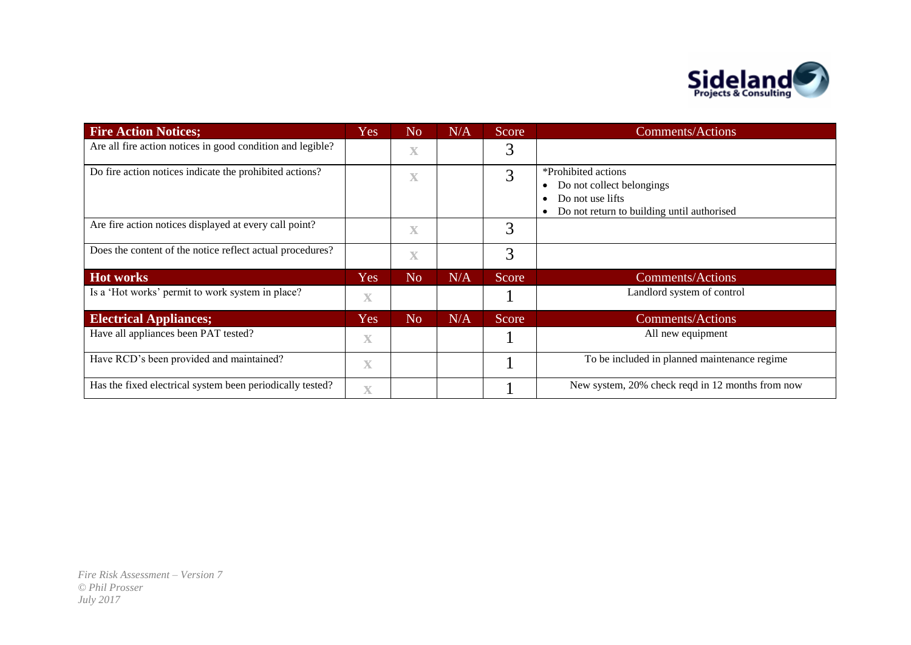

| <b>Fire Action Notices;</b>                                | Yes                     | N <sub>o</sub>          | N/A | Score | <b>Comments/Actions</b>                                                                                            |
|------------------------------------------------------------|-------------------------|-------------------------|-----|-------|--------------------------------------------------------------------------------------------------------------------|
| Are all fire action notices in good condition and legible? |                         | $\overline{\mathbf{X}}$ |     | 3     |                                                                                                                    |
| Do fire action notices indicate the prohibited actions?    |                         | $\mathbf X$             |     | 3     | *Prohibited actions<br>Do not collect belongings<br>Do not use lifts<br>Do not return to building until authorised |
| Are fire action notices displayed at every call point?     |                         | $\mathbf X$             |     | 3     |                                                                                                                    |
| Does the content of the notice reflect actual procedures?  |                         | $\overline{\mathbf{X}}$ |     | 3     |                                                                                                                    |
| <b>Hot works</b>                                           | Yes                     | N <sub>o</sub>          | N/A | Score | <b>Comments/Actions</b>                                                                                            |
| Is a 'Hot works' permit to work system in place?           | $\mathbf X$             |                         |     |       | Landlord system of control                                                                                         |
| <b>Electrical Appliances;</b>                              | Yes                     | N <sub>o</sub>          | N/A | Score | <b>Comments/Actions</b>                                                                                            |
| Have all appliances been PAT tested?                       | $\mathbf X$             |                         |     |       | All new equipment                                                                                                  |
| Have RCD's been provided and maintained?                   | $\overline{\mathbf{X}}$ |                         |     |       | To be included in planned maintenance regime                                                                       |
| Has the fixed electrical system been periodically tested?  | $\overline{\mathbf{X}}$ |                         |     |       | New system, 20% check reqd in 12 months from now                                                                   |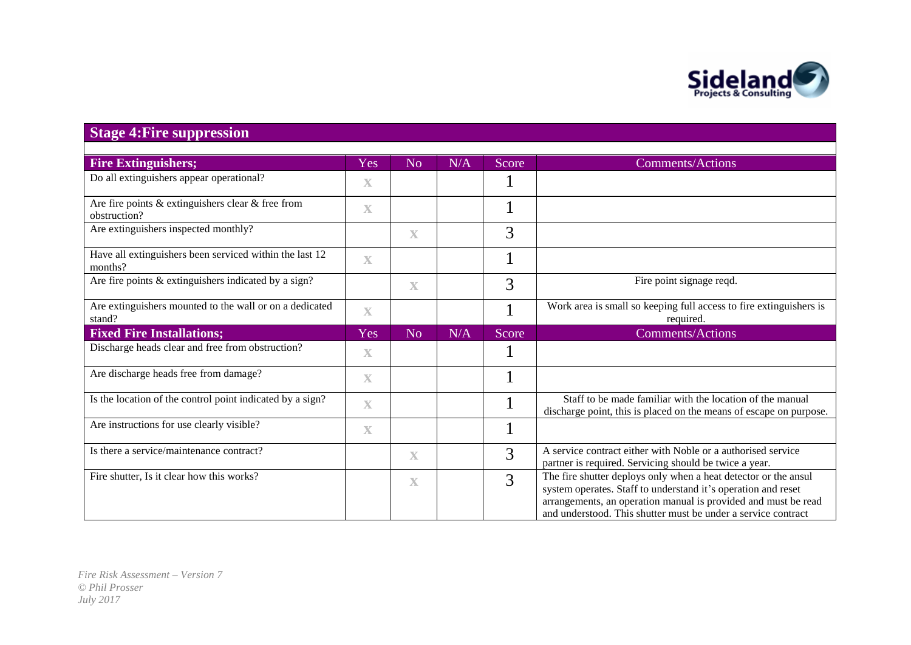

## **Stage 4:Fire suppression**

| <b>Fire Extinguishers;</b>                                            | Yes                     | No                      | N/A | Score | <b>Comments/Actions</b>                                                                                                                                                                                                                                             |
|-----------------------------------------------------------------------|-------------------------|-------------------------|-----|-------|---------------------------------------------------------------------------------------------------------------------------------------------------------------------------------------------------------------------------------------------------------------------|
| Do all extinguishers appear operational?                              | $\overline{\mathbf{X}}$ |                         |     |       |                                                                                                                                                                                                                                                                     |
| Are fire points $&$ extinguishers clear $&$ free from<br>obstruction? | $\mathbf X$             |                         |     |       |                                                                                                                                                                                                                                                                     |
| Are extinguishers inspected monthly?                                  |                         | $\mathbf X$             |     | 3     |                                                                                                                                                                                                                                                                     |
| Have all extinguishers been serviced within the last 12<br>months?    | $\overline{\mathbf{X}}$ |                         |     |       |                                                                                                                                                                                                                                                                     |
| Are fire points & extinguishers indicated by a sign?                  |                         | $\overline{\mathbf{X}}$ |     | 3     | Fire point signage reqd.                                                                                                                                                                                                                                            |
| Are extinguishers mounted to the wall or on a dedicated<br>stand?     | $\overline{\mathbf{X}}$ |                         |     |       | Work area is small so keeping full access to fire extinguishers is<br>required.                                                                                                                                                                                     |
| <b>Fixed Fire Installations;</b>                                      | Yes                     | N <sub>o</sub>          | N/A | Score | <b>Comments/Actions</b>                                                                                                                                                                                                                                             |
| Discharge heads clear and free from obstruction?                      | $\overline{\mathbf{X}}$ |                         |     |       |                                                                                                                                                                                                                                                                     |
| Are discharge heads free from damage?                                 | $\mathbf X$             |                         |     |       |                                                                                                                                                                                                                                                                     |
| Is the location of the control point indicated by a sign?             | $\overline{\mathbf{X}}$ |                         |     |       | Staff to be made familiar with the location of the manual<br>discharge point, this is placed on the means of escape on purpose.                                                                                                                                     |
| Are instructions for use clearly visible?                             | $\mathbf X$             |                         |     |       |                                                                                                                                                                                                                                                                     |
| Is there a service/maintenance contract?                              |                         | $\mathbf X$             |     | 3     | A service contract either with Noble or a authorised service<br>partner is required. Servicing should be twice a year.                                                                                                                                              |
| Fire shutter, Is it clear how this works?                             |                         | $\mathbf X$             |     | 3     | The fire shutter deploys only when a heat detector or the ansul<br>system operates. Staff to understand it's operation and reset<br>arrangements, an operation manual is provided and must be read<br>and understood. This shutter must be under a service contract |
|                                                                       |                         |                         |     |       |                                                                                                                                                                                                                                                                     |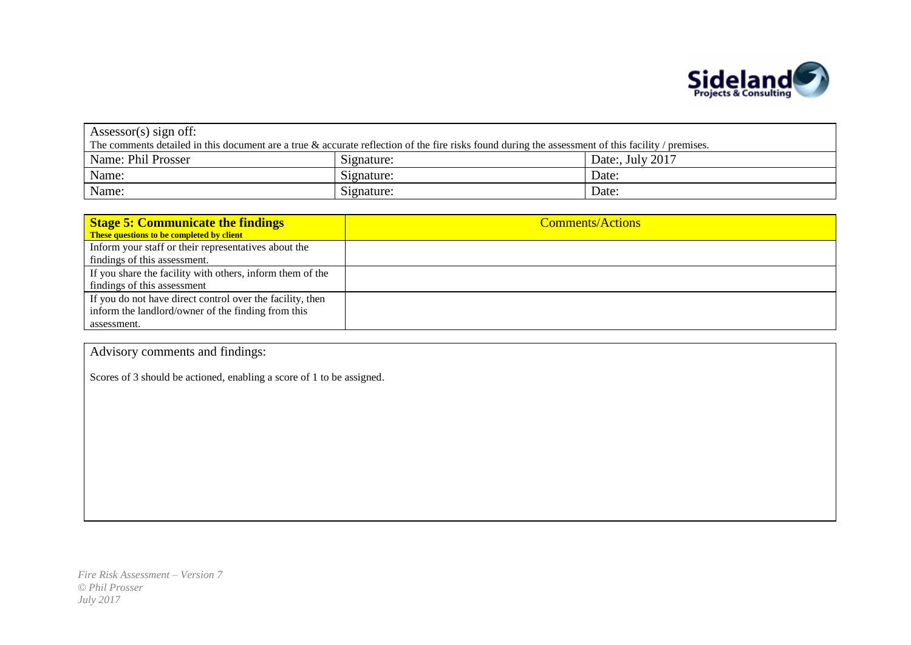

| Assessor(s) sign off:                                                                                                                                 |            |                  |  |  |  |
|-------------------------------------------------------------------------------------------------------------------------------------------------------|------------|------------------|--|--|--|
| The comments detailed in this document are a true $\&$ accurate reflection of the fire risks found during the assessment of this facility / premises. |            |                  |  |  |  |
| Name: Phil Prosser                                                                                                                                    | Signature: | Date:, July 2017 |  |  |  |
| Name:                                                                                                                                                 | Signature: | Date:            |  |  |  |
| Name:                                                                                                                                                 | Signature: | Date:            |  |  |  |

| <b>Stage 5: Communicate the findings</b>                  | <b>Comments/Actions</b> |
|-----------------------------------------------------------|-------------------------|
| These questions to be completed by client                 |                         |
| Inform your staff or their representatives about the      |                         |
| findings of this assessment.                              |                         |
| If you share the facility with others, inform them of the |                         |
| findings of this assessment                               |                         |
| If you do not have direct control over the facility, then |                         |
| inform the landlord/owner of the finding from this        |                         |
| assessment.                                               |                         |

Advisory comments and findings:

Scores of 3 should be actioned, enabling a score of 1 to be assigned.